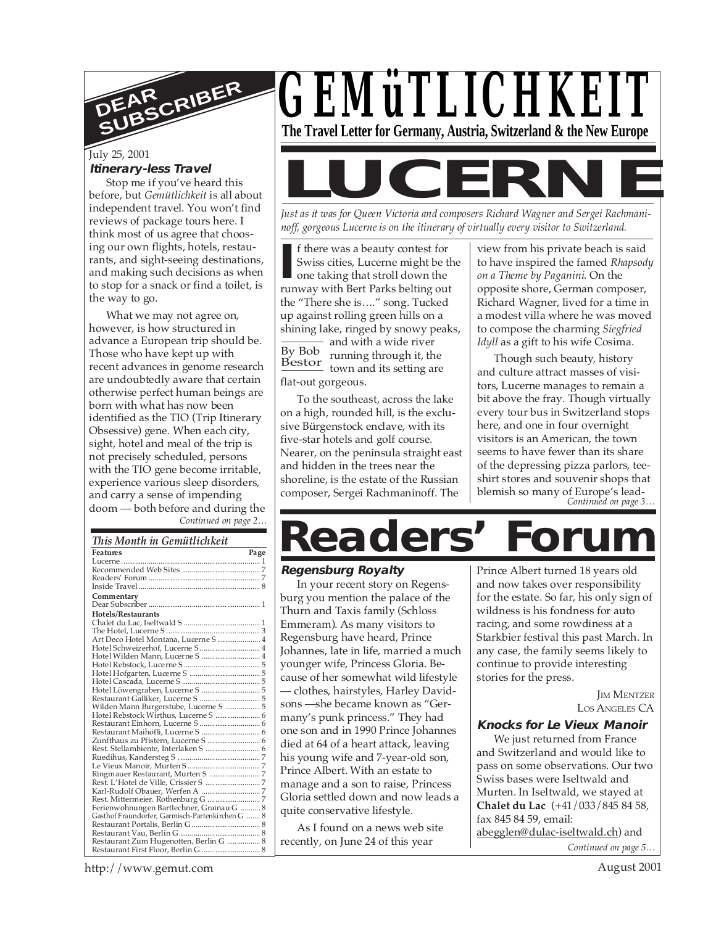

# July 25, 2001

#### **Itinerary-less Travel**

Stop me if you've heard this before, but *Gemütlichkeit* is all about independent travel. You won't find reviews of package tours here. I think most of us agree that choosing our own flights, hotels, restaurants, and sight-seeing destinations, and making such decisions as when to stop for a snack or find a toilet, is the way to go.

*Continued on page 2…* What we may not agree on, however, is how structured in advance a European trip should be. Those who have kept up with recent advances in genome research are undoubtedly aware that certain otherwise perfect human beings are born with what has now been identified as the TIO (Trip Itinerary Obsessive) gene. When each city, sight, hotel and meal of the trip is not precisely scheduled, persons with the TIO gene become irritable, experience various sleep disorders, and carry a sense of impending doom — both before and during the

#### *This Month in Gemütlichkeit*

| <b>Features</b>                                  | Page |
|--------------------------------------------------|------|
|                                                  |      |
|                                                  |      |
|                                                  |      |
|                                                  |      |
| Commentary                                       |      |
|                                                  |      |
| Hotels/Restaurants                               |      |
|                                                  |      |
|                                                  |      |
| Art Deco Hotel Montana, Lucerne S 4              |      |
| Hotel Schweizerhof, Lucerne S  4                 |      |
| Hotel Wilden Mann, Lucerne S  4                  |      |
|                                                  |      |
|                                                  |      |
|                                                  |      |
|                                                  |      |
|                                                  |      |
| Wilden Mann Burgerstube, Lucerne S  5            |      |
|                                                  |      |
|                                                  |      |
|                                                  |      |
|                                                  |      |
| Rest. Stellambiente, Interlaken S  6             |      |
|                                                  |      |
|                                                  |      |
|                                                  |      |
|                                                  |      |
|                                                  |      |
|                                                  |      |
| Ferienwohnungen Bartlechner, Grainau G  8        |      |
| Gasthof Fraundorfer, Garmisch-Partenkirchen G  8 |      |
|                                                  |      |
|                                                  |      |
| Restaurant Zum Hugenotten, Berlin G  8           |      |
|                                                  |      |



*Just as it was for Queen Victoria and composers Richard Wagner and Sergei Rachmaninoff, gorgeous Lucerne is on the itinerary of virtually every visitor to Switzerland.*

**I** f there was a beauty contest for Swiss cities, Lucerne might be the one taking that stroll down the runway with Bert Parks belting out By Bob running through it, the Bestor running through it, the<br>town and its setting are f there was a beauty contest for Swiss cities, Lucerne might be the one taking that stroll down the the "There she is…." song. Tucked up against rolling green hills on a shining lake, ringed by snowy peaks, - and with a wide river flat-out gorgeous.

To the southeast, across the lake on a high, rounded hill, is the exclusive Bürgenstock enclave, with its five-star hotels and golf course. Nearer, on the peninsula straight east and hidden in the trees near the shoreline, is the estate of the Russian composer, Sergei Rachmaninoff. The

view from his private beach is said to have inspired the famed *Rhapsody on a Theme by Paganini*. On the opposite shore, German composer, Richard Wagner, lived for a time in a modest villa where he was moved to compose the charming *Siegfried Idyll* as a gift to his wife Cosima.

*Continued on page 3…* Though such beauty, history and culture attract masses of visitors, Lucerne manages to remain a bit above the fray. Though virtually every tour bus in Switzerland stops here, and one in four overnight visitors is an American, the town seems to have fewer than its share of the depressing pizza parlors, teeshirt stores and souvenir shops that blemish so many of Europe's lead-

# **Readers' Forum**

#### **Regensburg Royalty**

In your recent story on Regensburg you mention the palace of the Thurn and Taxis family (Schloss Emmeram). As many visitors to Regensburg have heard, Prince Johannes, late in life, married a much younger wife, Princess Gloria. Because of her somewhat wild lifestyle — clothes, hairstyles, Harley Davidsons —she became known as "Germany's punk princess." They had one son and in 1990 Prince Johannes died at 64 of a heart attack, leaving his young wife and 7-year-old son, Prince Albert. With an estate to manage and a son to raise, Princess Gloria settled down and now leads a quite conservative lifestyle.

As I found on a news web site recently, on June 24 of this year

Prince Albert turned 18 years old and now takes over responsibility for the estate. So far, his only sign of wildness is his fondness for auto racing, and some rowdiness at a Starkbier festival this past March. In any case, the family seems likely to continue to provide interesting stories for the press.

> **IM MENTZER** LOS ANGELES CA

#### **Knocks for Le Vieux Manoir**

*Continued on page 5…* We just returned from France and Switzerland and would like to pass on some observations. Our two Swiss bases were Iseltwald and Murten. In Iseltwald, we stayed at **Chalet du Lac** (+41/033/845 84 58, fax 845 84 59, email: abegglen@dulac-iseltwald.ch) and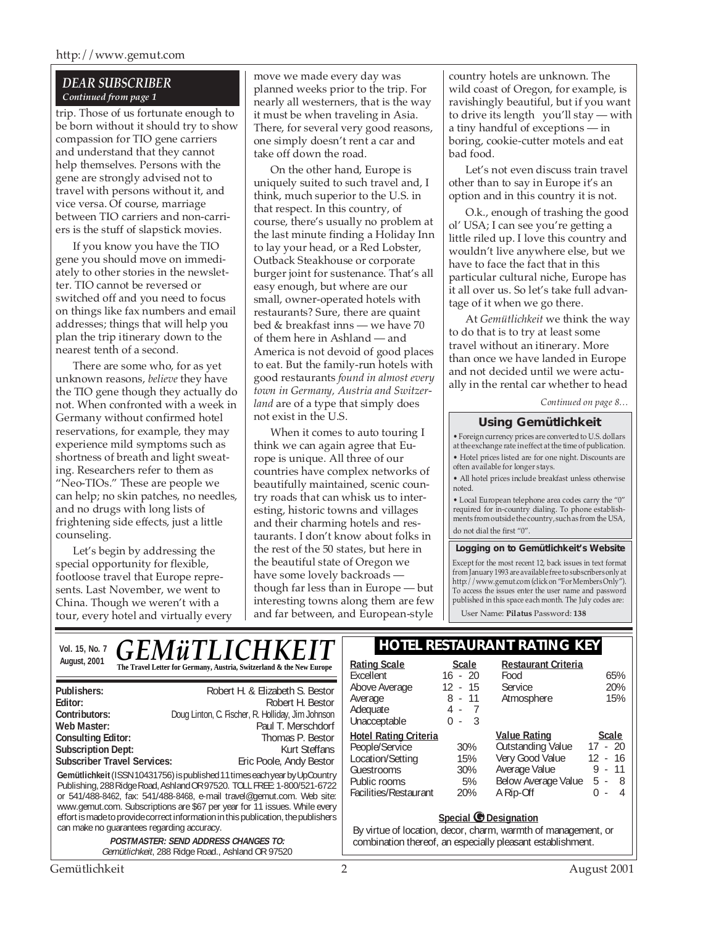#### *DEAR SUBSCRIBER Continued from page 1*

trip. Those of us fortunate enough to be born without it should try to show compassion for TIO gene carriers and understand that they cannot help themselves. Persons with the gene are strongly advised not to travel with persons without it, and vice versa. Of course, marriage between TIO carriers and non-carriers is the stuff of slapstick movies.

If you know you have the TIO gene you should move on immediately to other stories in the newsletter. TIO cannot be reversed or switched off and you need to focus on things like fax numbers and email addresses; things that will help you plan the trip itinerary down to the nearest tenth of a second.

There are some who, for as yet unknown reasons, *believe* they have the TIO gene though they actually do not. When confronted with a week in Germany without confirmed hotel reservations, for example, they may experience mild symptoms such as shortness of breath and light sweating. Researchers refer to them as "Neo-TIOs." These are people we can help; no skin patches, no needles, and no drugs with long lists of frightening side effects, just a little counseling.

Let's begin by addressing the special opportunity for flexible, footloose travel that Europe represents. Last November, we went to China. Though we weren't with a tour, every hotel and virtually every move we made every day was planned weeks prior to the trip. For nearly all westerners, that is the way it must be when traveling in Asia. There, for several very good reasons, one simply doesn't rent a car and take off down the road.

On the other hand, Europe is uniquely suited to such travel and, I think, much superior to the U.S. in that respect. In this country, of course, there's usually no problem at the last minute finding a Holiday Inn to lay your head, or a Red Lobster, Outback Steakhouse or corporate burger joint for sustenance. That's all easy enough, but where are our small, owner-operated hotels with restaurants? Sure, there are quaint bed & breakfast inns — we have 70 of them here in Ashland — and America is not devoid of good places to eat. But the family-run hotels with good restaurants *found in almost every town in Germany, Austria and Switzerland* are of a type that simply does not exist in the U.S.

When it comes to auto touring I think we can again agree that Europe is unique. All three of our countries have complex networks of beautifully maintained, scenic country roads that can whisk us to interesting, historic towns and villages and their charming hotels and restaurants. I don't know about folks in the rest of the 50 states, but here in the beautiful state of Oregon we have some lovely backroads though far less than in Europe — but interesting towns along them are few and far between, and European-style

country hotels are unknown. The wild coast of Oregon, for example, is ravishingly beautiful, but if you want to drive its length you'll stay — with a tiny handful of exceptions — in boring, cookie-cutter motels and eat bad food.

Let's not even discuss train travel other than to say in Europe it's an option and in this country it is not.

O.k., enough of trashing the good ol' USA; I can see you're getting a little riled up. I love this country and wouldn't live anywhere else, but we have to face the fact that in this particular cultural niche, Europe has it all over us. So let's take full advantage of it when we go there.

At *Gemütlichkeit* we think the way to do that is to try at least some travel without an itinerary. More than once we have landed in Europe and not decided until we were actually in the rental car whether to head

*Continued on page 8…*

#### **Using Gemütlichkeit**

• Foreign currency prices are converted to U.S. dollars at the exchange rate in effect at the time of publication. • Hotel prices listed are for one night. Discounts are often available for longer stays.

• All hotel prices include breakfast unless otherwise noted.

• Local European telephone area codes carry the "0" required for in-country dialing. To phone establishments from outside the country, such as from the USA, do not dial the first "0".

#### **Logging on to Gemütlichkeit's Website**

Except for the most recent 12, back issues in text format from January 1993 are available free to subscribers only at http://www.gemut.com (click on "For Members Only"). To access the issues enter the user name and password published in this space each month. The July codes are:

User Name: **Pilatus** Password: **138**

| <b>GEMÜTLICHKEIT</b><br>Vol. 15, No. 7                                                                                                                                                                                                                                                                                                                                                                                                      | <b>HOTEL RESTAURANT RATING KEY</b>                                                                                                                                                                                                                                                                                                                                                              |  |  |
|---------------------------------------------------------------------------------------------------------------------------------------------------------------------------------------------------------------------------------------------------------------------------------------------------------------------------------------------------------------------------------------------------------------------------------------------|-------------------------------------------------------------------------------------------------------------------------------------------------------------------------------------------------------------------------------------------------------------------------------------------------------------------------------------------------------------------------------------------------|--|--|
| August, 2001<br>The Travel Letter for Germany, Austria, Switzerland & the New Europe                                                                                                                                                                                                                                                                                                                                                        | <b>Restaurant Criteria</b><br><b>Rating Scale</b><br><b>Scale</b><br>$16 - 20$<br>Food<br>65%<br>Excellent                                                                                                                                                                                                                                                                                      |  |  |
| Robert H. & Elizabeth S. Bestor<br>Publishers:<br>Robert H. Bestor<br>Editor:<br>Doug Linton, C. Fischer, R. Holliday, Jim Johnson<br>Contributors:                                                                                                                                                                                                                                                                                         | 20%<br>$12 - 15$<br>Above Average<br><b>Service</b><br>$8 - 11$<br>15%<br>Atmosphere<br>Average<br>Adequate<br>4 -<br>$\mathbf{3}$<br>$0 -$<br>Unacceptable                                                                                                                                                                                                                                     |  |  |
| Paul T. Merschdorf<br>Web Master:<br><b>Consulting Editor:</b><br>Thomas P. Bestor<br><b>Subscription Dept:</b><br><b>Kurt Steffans</b><br><b>Subscriber Travel Services:</b><br>Eric Poole, Andy Bestor<br>Gemütlichkeit (ISSN 10431756) is published 11 times each year by UpCountry<br>Publishing, 288 Ridge Road, Ashland OR 97520. TOLL FREE: 1-800/521-6722<br>or 541/488-8462, fax: 541/488-8468, e-mail travel@gemut.com. Web site: | <b>Value Rating</b><br><b>Hotel Rating Criteria</b><br>Scale<br><b>Outstanding Value</b><br>$17 - 20$<br>People/Service<br>30%<br>Very Good Value<br>12 - 16<br>Location/Setting<br>15%<br>Average Value<br>9<br>11<br>Guestrooms<br>30%<br>$\sim$<br>Below Average Value<br>5 -<br>-8<br>5%<br>Public rooms<br>Facilities/Restaurant<br>20%<br>A Rip-Off<br>0<br>4<br>$\overline{\phantom{a}}$ |  |  |
| www.gemut.com. Subscriptions are \$67 per year for 11 issues. While every<br>effort is made to provide correct information in this publication, the publishers<br>can make no quarantees regarding accuracy.<br><b>POSTMASTER: SEND ADDRESS CHANGES TO:</b><br>Gemütlichkeit, 288 Ridge Road., Ashland OR 97520                                                                                                                             | Special C Designation<br>By virtue of location, decor, charm, warmth of management, or<br>combination thereof, an especially pleasant establishment.                                                                                                                                                                                                                                            |  |  |
| Gemütlichkeit                                                                                                                                                                                                                                                                                                                                                                                                                               | 2<br>August 2001                                                                                                                                                                                                                                                                                                                                                                                |  |  |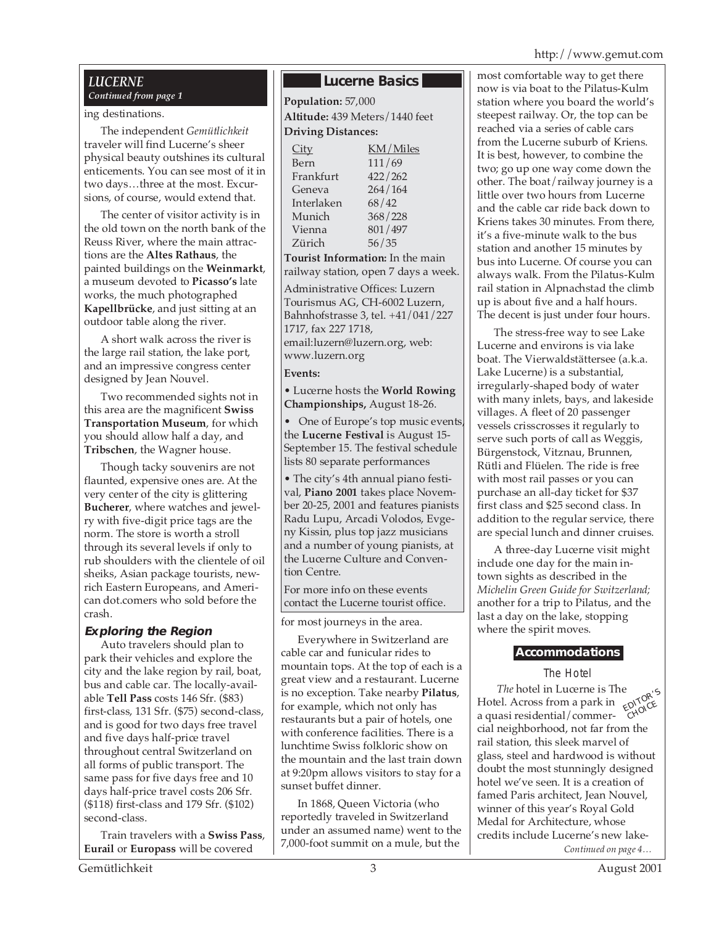# *LUCERNE*

# ing destinations.

The independent *Gemütlichkeit* traveler will find Lucerne's sheer physical beauty outshines its cultural enticements. You can see most of it in two days…three at the most. Excursions, of course, would extend that.

The center of visitor activity is in the old town on the north bank of the Reuss River, where the main attractions are the **Altes Rathaus**, the painted buildings on the **Weinmarkt**, a museum devoted to **Picasso's** late works, the much photographed **Kapellbrücke**, and just sitting at an outdoor table along the river.

A short walk across the river is the large rail station, the lake port, and an impressive congress center designed by Jean Nouvel.

Two recommended sights not in this area are the magnificent **Swiss Transportation Museum**, for which you should allow half a day, and **Tribschen**, the Wagner house.

Though tacky souvenirs are not flaunted, expensive ones are. At the very center of the city is glittering **Bucherer**, where watches and jewelry with five-digit price tags are the norm. The store is worth a stroll through its several levels if only to rub shoulders with the clientele of oil sheiks, Asian package tourists, newrich Eastern Europeans, and American dot.comers who sold before the crash.

#### **Exploring the Region**

Auto travelers should plan to park their vehicles and explore the city and the lake region by rail, boat, bus and cable car. The locally-available **Tell Pass** costs 146 Sfr. (\$83) first-class, 131 Sfr. (\$75) second-class, and is good for two days free travel and five days half-price travel throughout central Switzerland on all forms of public transport. The same pass for five days free and 10 days half-price travel costs 206 Sfr. (\$118) first-class and 179 Sfr. (\$102) second-class.

Train travelers with a **Swiss Pass**, **Eurail** or **Europass** will be covered

# **Lucerne Basics**

*Continued from page 1* **Population:** 57,000 **Altitude:** 439 Meters/1440 feet **Driving Distances:**

| City       | KM/Miles |
|------------|----------|
| Bern       | 111/69   |
| Frankfurt  | 422/262  |
| Geneva     | 264/164  |
| Interlaken | 68/42    |
| Munich     | 368/228  |
| Vienna     | 801/497  |
| Zürich     | 56/35    |
|            |          |

**Tourist Information:** In the main railway station, open 7 days a week.

Administrative Offices: Luzern Tourismus AG, CH-6002 Luzern, Bahnhofstrasse 3, tel. +41/041/227 1717, fax 227 1718, email:luzern@luzern.org, web: www.luzern.org

#### **Events:**

• Lucerne hosts the **World Rowing Championships,** August 18-26.

• One of Europe's top music events the **Lucerne Festival** is August 15- September 15. The festival schedule lists 80 separate performances

• The city's 4th annual piano festival, **Piano 2001** takes place November 20-25, 2001 and features pianists Radu Lupu, Arcadi Volodos, Evgeny Kissin, plus top jazz musicians and a number of young pianists, at the Lucerne Culture and Convention Centre.

For more info on these events contact the Lucerne tourist office.

for most journeys in the area.

Everywhere in Switzerland are cable car and funicular rides to mountain tops. At the top of each is a great view and a restaurant. Lucerne is no exception. Take nearby **Pilatus**, for example, which not only has restaurants but a pair of hotels, one with conference facilities. There is a lunchtime Swiss folkloric show on the mountain and the last train down at 9:20pm allows visitors to stay for a sunset buffet dinner.

In 1868, Queen Victoria (who reportedly traveled in Switzerland under an assumed name) went to the 7,000-foot summit on a mule, but the

most comfortable way to get there now is via boat to the Pilatus-Kulm station where you board the world's steepest railway. Or, the top can be reached via a series of cable cars from the Lucerne suburb of Kriens. It is best, however, to combine the two; go up one way come down the other. The boat/railway journey is a little over two hours from Lucerne and the cable car ride back down to Kriens takes 30 minutes. From there, it's a five-minute walk to the bus station and another 15 minutes by bus into Lucerne. Of course you can always walk. From the Pilatus-Kulm rail station in Alpnachstad the climb up is about five and a half hours. The decent is just under four hours.

The stress-free way to see Lake Lucerne and environs is via lake boat. The Vierwaldstättersee (a.k.a. Lake Lucerne) is a substantial, irregularly-shaped body of water with many inlets, bays, and lakeside villages. A fleet of 20 passenger vessels crisscrosses it regularly to serve such ports of call as Weggis, Bürgenstock, Vitznau, Brunnen, Rütli and Flüelen. The ride is free with most rail passes or you can purchase an all-day ticket for \$37 first class and \$25 second class. In addition to the regular service, there are special lunch and dinner cruises.

A three-day Lucerne visit might include one day for the main intown sights as described in the *Michelin Green Guide for Switzerland;* another for a trip to Pilatus, and the last a day on the lake, stopping where the spirit moves.

# **Accommodations**

# The Hotel

*Continued on page 4… The* hotel in Lucerne is The *The* noted in Eucerne is the<br>Hotel. Across from a park in **EDITOR'S**<br>a quasi residential/commera quasi residential/commercial neighborhood, not far from the rail station, this sleek marvel of glass, steel and hardwood is without doubt the most stunningly designed hotel we've seen. It is a creation of famed Paris architect, Jean Nouvel, winner of this year's Royal Gold Medal for Architecture, whose credits include Lucerne's new lake-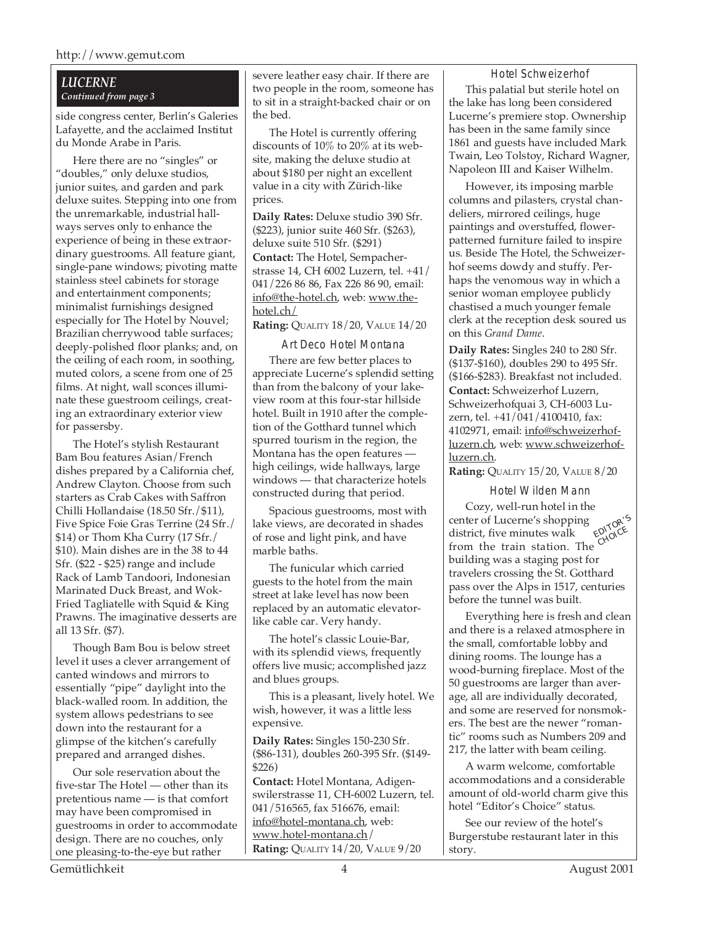#### *LUCERNE Continued from page 3*

side congress center, Berlin's Galeries Lafayette, and the acclaimed Institut du Monde Arabe in Paris.

Here there are no "singles" or "doubles," only deluxe studios, junior suites, and garden and park deluxe suites. Stepping into one from the unremarkable, industrial hallways serves only to enhance the experience of being in these extraordinary guestrooms. All feature giant, single-pane windows; pivoting matte stainless steel cabinets for storage and entertainment components; minimalist furnishings designed especially for The Hotel by Nouvel; Brazilian cherrywood table surfaces; deeply-polished floor planks; and, on the ceiling of each room, in soothing, muted colors, a scene from one of 25 films. At night, wall sconces illuminate these guestroom ceilings, creating an extraordinary exterior view for passersby.

The Hotel's stylish Restaurant Bam Bou features Asian/French dishes prepared by a California chef, Andrew Clayton. Choose from such starters as Crab Cakes with Saffron Chilli Hollandaise (18.50 Sfr./\$11), Five Spice Foie Gras Terrine (24 Sfr./ \$14) or Thom Kha Curry (17 Sfr./ \$10). Main dishes are in the 38 to 44 Sfr. (\$22 - \$25) range and include Rack of Lamb Tandoori, Indonesian Marinated Duck Breast, and Wok-Fried Tagliatelle with Squid & King Prawns. The imaginative desserts are all 13 Sfr. (\$7).

Though Bam Bou is below street level it uses a clever arrangement of canted windows and mirrors to essentially "pipe" daylight into the black-walled room. In addition, the system allows pedestrians to see down into the restaurant for a glimpse of the kitchen's carefully prepared and arranged dishes.

Our sole reservation about the five-star The Hotel — other than its pretentious name — is that comfort may have been compromised in guestrooms in order to accommodate design. There are no couches, only one pleasing-to-the-eye but rather

severe leather easy chair. If there are two people in the room, someone has to sit in a straight-backed chair or on the bed.

The Hotel is currently offering discounts of 10% to 20% at its website, making the deluxe studio at about \$180 per night an excellent value in a city with Zürich-like prices.

**Daily Rates:** Deluxe studio 390 Sfr. (\$223), junior suite 460 Sfr. (\$263), deluxe suite 510 Sfr. (\$291) **Contact:** The Hotel, Sempacherstrasse 14, CH 6002 Luzern, tel. +41/ 041/226 86 86, Fax 226 86 90, email: info@the-hotel.ch, web: www.thehotel.ch/

**Rating:** QUALITY 18/20, VALUE 14/20

Art Deco Hotel Montana There are few better places to appreciate Lucerne's splendid setting than from the balcony of your lakeview room at this four-star hillside hotel. Built in 1910 after the completion of the Gotthard tunnel which spurred tourism in the region, the Montana has the open features high ceilings, wide hallways, large windows — that characterize hotels constructed during that period.

Spacious guestrooms, most with lake views, are decorated in shades of rose and light pink, and have marble baths.

The funicular which carried guests to the hotel from the main street at lake level has now been replaced by an automatic elevatorlike cable car. Very handy.

The hotel's classic Louie-Bar, with its splendid views, frequently offers live music; accomplished jazz and blues groups.

This is a pleasant, lively hotel. We wish, however, it was a little less expensive.

**Daily Rates:** Singles 150-230 Sfr. (\$86-131), doubles 260-395 Sfr. (\$149- \$226)

**Contact:** Hotel Montana, Adigenswilerstrasse 11, CH-6002 Luzern, tel. 041/516565, fax 516676, email: info@hotel-montana.ch, web: www.hotel-montana.ch/ **Rating:** QUALITY 14/20, VALUE 9/20

Hotel Schweizerhof

This palatial but sterile hotel on the lake has long been considered Lucerne's premiere stop. Ownership has been in the same family since 1861 and guests have included Mark Twain, Leo Tolstoy, Richard Wagner, Napoleon III and Kaiser Wilhelm.

However, its imposing marble columns and pilasters, crystal chandeliers, mirrored ceilings, huge paintings and overstuffed, flowerpatterned furniture failed to inspire us. Beside The Hotel, the Schweizerhof seems dowdy and stuffy. Perhaps the venomous way in which a senior woman employee publicly chastised a much younger female clerk at the reception desk soured us on this *Grand Dame*.

**Daily Rates:** Singles 240 to 280 Sfr. (\$137-\$160), doubles 290 to 495 Sfr. (\$166-\$283). Breakfast not included. **Contact:** Schweizerhof Luzern, Schweizerhofquai 3, CH-6003 Luzern, tel. +41/041/4100410, fax: 4102971, email: info@schweizerhofluzern.ch, web: www.schweizerhofluzern.ch.

**Rating:** QUALITY 15/20, VALUE 8/20

Hotel Wilden Mann

EDITOR'<sup>S</sup> district, five minutes walk  $\mathcal{C}^{\text{NNC}}$ Cozy, well-run hotel in the center of Lucerne's shopping from the train station. The building was a staging post for travelers crossing the St. Gotthard pass over the Alps in 1517, centuries before the tunnel was built.

Everything here is fresh and clean and there is a relaxed atmosphere in the small, comfortable lobby and dining rooms. The lounge has a wood-burning fireplace. Most of the 50 guestrooms are larger than average, all are individually decorated, and some are reserved for nonsmokers. The best are the newer "romantic" rooms such as Numbers 209 and 217, the latter with beam ceiling.

A warm welcome, comfortable accommodations and a considerable amount of old-world charm give this hotel "Editor's Choice" status.

See our review of the hotel's Burgerstube restaurant later in this story.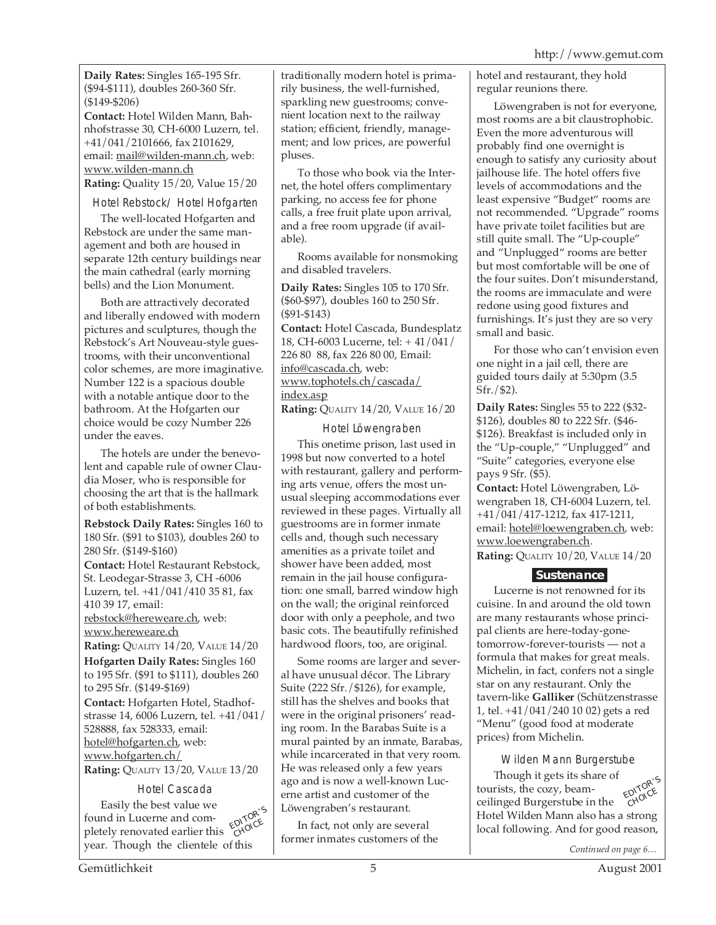**Daily Rates:** Singles 165-195 Sfr. (\$94-\$111), doubles 260-360 Sfr. (\$149-\$206)

**Contact:** Hotel Wilden Mann, Bahnhofstrasse 30, CH-6000 Luzern, tel. +41/041/2101666, fax 2101629, email: mail@wilden-mann.ch, web: www.wilden-mann.ch **Rating:** Quality 15/20, Value 15/20

Hotel Rebstock/ Hotel Hofgarten

The well-located Hofgarten and Rebstock are under the same management and both are housed in separate 12th century buildings near the main cathedral (early morning bells) and the Lion Monument.

Both are attractively decorated and liberally endowed with modern pictures and sculptures, though the Rebstock's Art Nouveau-style guestrooms, with their unconventional color schemes, are more imaginative. Number 122 is a spacious double with a notable antique door to the bathroom. At the Hofgarten our choice would be cozy Number 226 under the eaves.

The hotels are under the benevolent and capable rule of owner Claudia Moser, who is responsible for choosing the art that is the hallmark of both establishments.

**Rebstock Daily Rates:** Singles 160 to 180 Sfr. (\$91 to \$103), doubles 260 to 280 Sfr. (\$149-\$160) **Contact:** Hotel Restaurant Rebstock, St. Leodegar-Strasse 3, CH -6006 Luzern, tel. +41/041/410 35 81, fax 410 39 17, email: rebstock@hereweare.ch, web: www.hereweare.ch **Rating:** QUALITY 14/20, VALUE 14/20 **Hofgarten Daily Rates:** Singles 160 to 195 Sfr. (\$91 to \$111), doubles 260 to 295 Sfr. (\$149-\$169)

**Contact:** Hofgarten Hotel, Stadhofstrasse 14, 6006 Luzern, tel. +41/041/ 528888, fax 528333, email: hotel@hofgarten.ch, web: www.hofgarten.ch/

**Rating:** QUALITY 13/20, VALUE 13/20

# Hotel Cascada

EDITOR'<sup>S</sup> CHOICE Easily the best value we found in Lucerne and completely renovated earlier this year. Though the clientele of this

traditionally modern hotel is primarily business, the well-furnished, sparkling new guestrooms; convenient location next to the railway station; efficient, friendly, management; and low prices, are powerful pluses.

To those who book via the Internet, the hotel offers complimentary parking, no access fee for phone calls, a free fruit plate upon arrival, and a free room upgrade (if available).

Rooms available for nonsmoking and disabled travelers.

**Daily Rates:** Singles 105 to 170 Sfr. (\$60-\$97), doubles 160 to 250 Sfr. (\$91-\$143) **Contact:** Hotel Cascada, Bundesplatz 18, CH-6003 Lucerne, tel: + 41/041/ 226 80 88, fax 226 80 00, Email: info@cascada.ch, web: www.tophotels.ch/cascada/ index.asp

**Rating:** QUALITY 14/20, VALUE 16/20

Hotel Löwengraben

This onetime prison, last used in 1998 but now converted to a hotel with restaurant, gallery and performing arts venue, offers the most unusual sleeping accommodations ever reviewed in these pages. Virtually all guestrooms are in former inmate cells and, though such necessary amenities as a private toilet and shower have been added, most remain in the jail house configuration: one small, barred window high on the wall; the original reinforced door with only a peephole, and two basic cots. The beautifully refinished hardwood floors, too, are original.

Some rooms are larger and several have unusual décor. The Library Suite (222 Sfr./\$126), for example, still has the shelves and books that were in the original prisoners' reading room. In the Barabas Suite is a mural painted by an inmate, Barabas, while incarcerated in that very room. He was released only a few years ago and is now a well-known Lucerne artist and customer of the Löwengraben's restaurant.

In fact, not only are several former inmates customers of the hotel and restaurant, they hold regular reunions there.

Löwengraben is not for everyone, most rooms are a bit claustrophobic. Even the more adventurous will probably find one overnight is enough to satisfy any curiosity about jailhouse life. The hotel offers five levels of accommodations and the least expensive "Budget" rooms are not recommended. "Upgrade" rooms have private toilet facilities but are still quite small. The "Up-couple" and "Unplugged" rooms are better but most comfortable will be one of the four suites. Don't misunderstand, the rooms are immaculate and were redone using good fixtures and furnishings. It's just they are so very small and basic.

For those who can't envision even one night in a jail cell, there are guided tours daily at 5:30pm (3.5 Sfr./\$2).

**Daily Rates:** Singles 55 to 222 (\$32- \$126), doubles 80 to 222 Sfr. (\$46- \$126). Breakfast is included only in the "Up-couple," "Unplugged" and "Suite" categories, everyone else pays 9 Sfr. (\$5).

**Contact:** Hotel Löwengraben, Löwengraben 18, CH-6004 Luzern, tel. +41/041/417-1212, fax 417-1211, email: hotel@loewengraben.ch, web: www.loewengraben.ch. **Rating:** QUALITY 10/20, VALUE 14/20

# **Sustenance**

Lucerne is not renowned for its cuisine. In and around the old town are many restaurants whose principal clients are here-today-gonetomorrow-forever-tourists — not a formula that makes for great meals. Michelin, in fact, confers not a single star on any restaurant. Only the tavern-like **Galliker** (Schützenstrasse 1, tel. +41/041/240 10 02) gets a red "Menu" (good food at moderate prices) from Michelin.

Wilden Mann Burgerstube

Though it gets its share of tourists, the cozy, beamceilinged Burgerstube in the Hotel Wilden Mann also has a strong local following. And for good reason, EDITOR'<sup>S</sup> CHOICE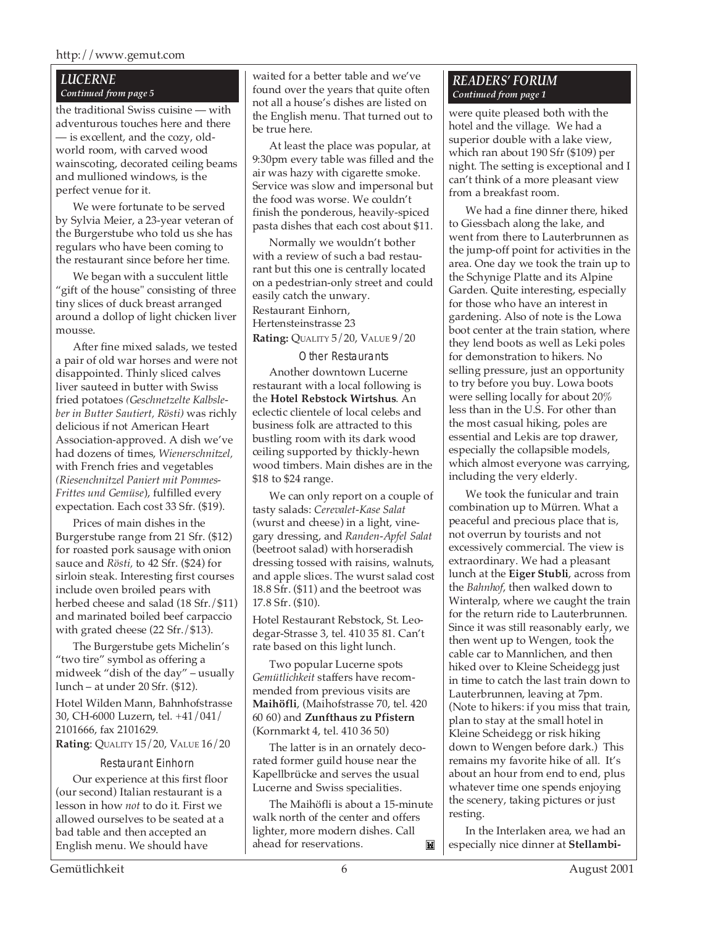#### *LUCERNE Continued from page 5*

the traditional Swiss cuisine — with adventurous touches here and there — is excellent, and the cozy, oldworld room, with carved wood wainscoting, decorated ceiling beams and mullioned windows, is the perfect venue for it.

We were fortunate to be served by Sylvia Meier, a 23-year veteran of the Burgerstube who told us she has regulars who have been coming to the restaurant since before her time.

We began with a succulent little "gift of the house" consisting of three tiny slices of duck breast arranged around a dollop of light chicken liver mousse.

After fine mixed salads, we tested a pair of old war horses and were not disappointed. Thinly sliced calves liver sauteed in butter with Swiss fried potatoes *(Geschnetzelte Kalbsleber in Butter Sautiert, Rösti)* was richly delicious if not American Heart Association-approved. A dish we've had dozens of times, *Wienerschnitzel,* with French fries and vegetables *(Riesenchnitzel Paniert mit Pommes-Frittes und Gemüse*), fulfilled every expectation. Each cost 33 Sfr. (\$19).

Prices of main dishes in the Burgerstube range from 21 Sfr. (\$12) for roasted pork sausage with onion sauce and *Rösti,* to 42 Sfr. (\$24) for sirloin steak. Interesting first courses include oven broiled pears with herbed cheese and salad (18 Sfr./\$11) and marinated boiled beef carpaccio with grated cheese (22 Sfr./\$13).

The Burgerstube gets Michelin's "two tire" symbol as offering a midweek "dish of the day" – usually lunch – at under 20 Sfr. (\$12).

Hotel Wilden Mann, Bahnhofstrasse 30, CH-6000 Luzern, tel. +41/041/ 2101666, fax 2101629. **Rating**: QUALITY 15/20, VALUE 16/20

#### Restaurant Einhorn

Our experience at this first floor (our second) Italian restaurant is a lesson in how *not* to do it. First we allowed ourselves to be seated at a bad table and then accepted an English menu. We should have

waited for a better table and we've found over the years that quite often not all a house's dishes are listed on the English menu. That turned out to be true here.

At least the place was popular, at 9:30pm every table was filled and the air was hazy with cigarette smoke. Service was slow and impersonal but the food was worse. We couldn't finish the ponderous, heavily-spiced pasta dishes that each cost about \$11.

Normally we wouldn't bother with a review of such a bad restaurant but this one is centrally located on a pedestrian-only street and could easily catch the unwary. Restaurant Einhorn, Hertensteinstrasse 23 **Rating:** QUALITY 5/20, VALUE 9/20

#### Other Restaurants

Another downtown Lucerne restaurant with a local following is the **Hotel Rebstock Wirtshus**. An eclectic clientele of local celebs and business folk are attracted to this bustling room with its dark wood ceiling supported by thickly-hewn wood timbers. Main dishes are in the \$18 to \$24 range.

We can only report on a couple of tasty salads: *Cerevalet-Kase Salat* (wurst and cheese) in a light, vinegary dressing, and *Randen-Apfel Salat* (beetroot salad) with horseradish dressing tossed with raisins, walnuts, and apple slices. The wurst salad cost 18.8 Sfr. (\$11) and the beetroot was 17.8 Sfr. (\$10).

Hotel Restaurant Rebstock, St. Leodegar-Strasse 3, tel. 410 35 81. Can't rate based on this light lunch.

Two popular Lucerne spots *Gemütlichkeit* staffers have recommended from previous visits are **Maihöfli**, (Maihofstrasse 70, tel. 420 60 60) and **Zunfthaus zu Pfistern** (Kornmarkt 4, tel. 410 36 50)

The latter is in an ornately decorated former guild house near the Kapellbrücke and serves the usual Lucerne and Swiss specialities.

The Maihöfli is about a 15-minute walk north of the center and offers lighter, more modern dishes. Call ahead for reservations. M

#### *READERS' FORUM Continued from page 1*

were quite pleased both with the hotel and the village. We had a superior double with a lake view, which ran about 190 Sfr (\$109) per night. The setting is exceptional and I can't think of a more pleasant view from a breakfast room.

We had a fine dinner there, hiked to Giessbach along the lake, and went from there to Lauterbrunnen as the jump-off point for activities in the area. One day we took the train up to the Schynige Platte and its Alpine Garden. Quite interesting, especially for those who have an interest in gardening. Also of note is the Lowa boot center at the train station, where they lend boots as well as Leki poles for demonstration to hikers. No selling pressure, just an opportunity to try before you buy. Lowa boots were selling locally for about 20% less than in the U.S. For other than the most casual hiking, poles are essential and Lekis are top drawer, especially the collapsible models, which almost everyone was carrying, including the very elderly.

We took the funicular and train combination up to Mürren. What a peaceful and precious place that is, not overrun by tourists and not excessively commercial. The view is extraordinary. We had a pleasant lunch at the **Eiger Stubli**, across from the *Bahnhof*, then walked down to Winteralp, where we caught the train for the return ride to Lauterbrunnen. Since it was still reasonably early, we then went up to Wengen, took the cable car to Mannlichen, and then hiked over to Kleine Scheidegg just in time to catch the last train down to Lauterbrunnen, leaving at 7pm. (Note to hikers: if you miss that train, plan to stay at the small hotel in Kleine Scheidegg or risk hiking down to Wengen before dark.) This remains my favorite hike of all. It's about an hour from end to end, plus whatever time one spends enjoying the scenery, taking pictures or just resting.

In the Interlaken area, we had an especially nice dinner at **Stellambi-**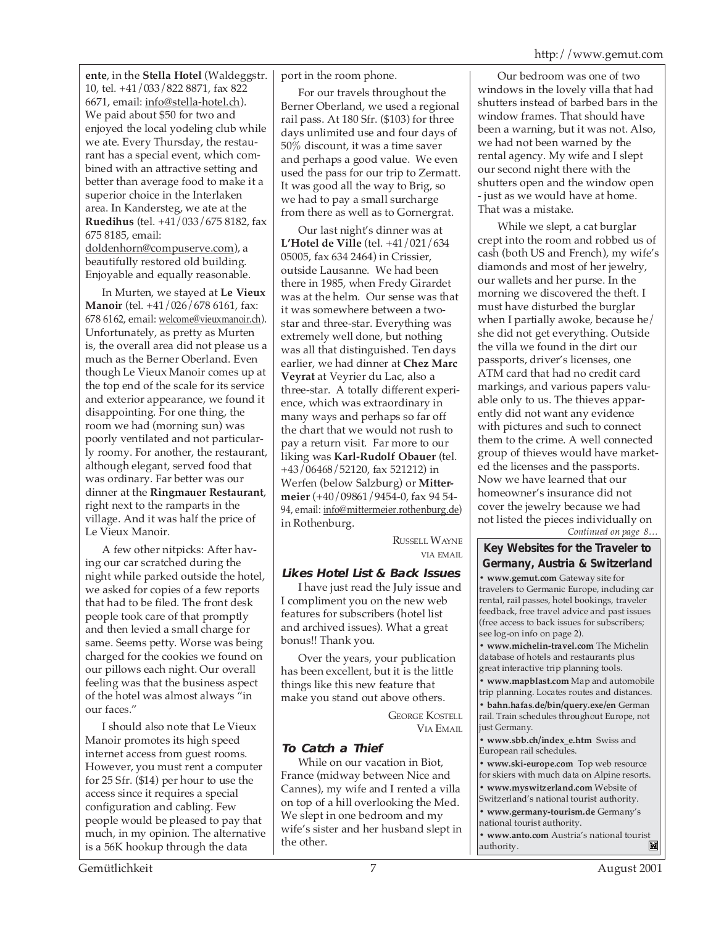**ente**, in the **Stella Hotel** (Waldeggstr. 10, tel. +41/033/822 8871, fax 822 6671, email: info@stella-hotel.ch). We paid about \$50 for two and enjoyed the local yodeling club while we ate. Every Thursday, the restaurant has a special event, which combined with an attractive setting and better than average food to make it a superior choice in the Interlaken area. In Kandersteg, we ate at the **Ruedihus** (tel. +41/033/675 8182, fax 675 8185, email: doldenhorn@compuserve.com), a

beautifully restored old building. Enjoyable and equally reasonable.

In Murten, we stayed at **Le Vieux Manoir** (tel. +41/026/678 6161, fax: 678 6162, email: welcome@vieuxmanoir.ch). Unfortunately, as pretty as Murten is, the overall area did not please us a much as the Berner Oberland. Even though Le Vieux Manoir comes up at the top end of the scale for its service and exterior appearance, we found it disappointing. For one thing, the room we had (morning sun) was poorly ventilated and not particularly roomy. For another, the restaurant, although elegant, served food that was ordinary. Far better was our dinner at the **Ringmauer Restaurant**, right next to the ramparts in the village. And it was half the price of Le Vieux Manoir.

A few other nitpicks: After having our car scratched during the night while parked outside the hotel, we asked for copies of a few reports that had to be filed. The front desk people took care of that promptly and then levied a small charge for same. Seems petty. Worse was being charged for the cookies we found on our pillows each night. Our overall feeling was that the business aspect of the hotel was almost always "in our faces."

I should also note that Le Vieux Manoir promotes its high speed internet access from guest rooms. However, you must rent a computer for 25 Sfr. (\$14) per hour to use the access since it requires a special configuration and cabling. Few people would be pleased to pay that much, in my opinion. The alternative is a 56K hookup through the data

port in the room phone.

For our travels throughout the Berner Oberland, we used a regional rail pass. At 180 Sfr. (\$103) for three days unlimited use and four days of 50% discount, it was a time saver and perhaps a good value. We even used the pass for our trip to Zermatt. It was good all the way to Brig, so we had to pay a small surcharge from there as well as to Gornergrat.

Our last night's dinner was at **L'Hotel de Ville** (tel. +41/021/634 05005, fax 634 2464) in Crissier, outside Lausanne. We had been there in 1985, when Fredy Girardet was at the helm. Our sense was that it was somewhere between a twostar and three-star. Everything was extremely well done, but nothing was all that distinguished. Ten days earlier, we had dinner at **Chez Marc Veyrat** at Veyrier du Lac, also a three-star. A totally different experience, which was extraordinary in many ways and perhaps so far off the chart that we would not rush to pay a return visit. Far more to our liking was **Karl-Rudolf Obauer** (tel. +43/06468/52120, fax 521212) in Werfen (below Salzburg) or **Mittermeier** (+40/09861/9454-0, fax 94 54- 94, email: info@mittermeier.rothenburg.de) in Rothenburg.

> RUSSELL WAYNE VIA EMAIL

# **Likes Hotel List & Back Issues**

I have just read the July issue and I compliment you on the new web features for subscribers (hotel list and archived issues). What a great bonus!! Thank you.

Over the years, your publication has been excellent, but it is the little things like this new feature that make you stand out above others.

> GEORGE KOSTELL VIA EMAIL

# **To Catch a Thief**

While on our vacation in Biot, France (midway between Nice and Cannes), my wife and I rented a villa on top of a hill overlooking the Med. We slept in one bedroom and my wife's sister and her husband slept in the other.

 Our bedroom was one of two windows in the lovely villa that had shutters instead of barbed bars in the window frames. That should have been a warning, but it was not. Also, we had not been warned by the rental agency. My wife and I slept our second night there with the shutters open and the window open - just as we would have at home. That was a mistake.

*Continued on page 8…* While we slept, a cat burglar crept into the room and robbed us of cash (both US and French), my wife's diamonds and most of her jewelry, our wallets and her purse. In the morning we discovered the theft. I must have disturbed the burglar when I partially awoke, because he/ she did not get everything. Outside the villa we found in the dirt our passports, driver's licenses, one ATM card that had no credit card markings, and various papers valuable only to us. The thieves apparently did not want any evidence with pictures and such to connect them to the crime. A well connected group of thieves would have marketed the licenses and the passports. Now we have learned that our homeowner's insurance did not cover the jewelry because we had not listed the pieces individually on

# **Key Websites for the Traveler to Germany, Austria & Switzerland**

**• www.gemut.com** Gateway site for travelers to Germanic Europe, including car rental, rail passes, hotel bookings, traveler feedback, free travel advice and past issues (free access to back issues for subscribers; see log-on info on page 2).

**• www.michelin-travel.com** The Michelin database of hotels and restaurants plus great interactive trip planning tools.

**• www.mapblast.com** Map and automobile trip planning. Locates routes and distances.

**• bahn.hafas.de/bin/query.exe/en** German rail. Train schedules throughout Europe, not just Germany.

**• www.sbb.ch/index\_e.htm** Swiss and European rail schedules.

**• www.ski-europe.com** Top web resource for skiers with much data on Alpine resorts.

**• www.myswitzerland.com** Website of

Switzerland's national tourist authority. **• www.germany-tourism.de** Germany's

national tourist authority.

**• www.anto.com** Austria's national tourist authority. authority.